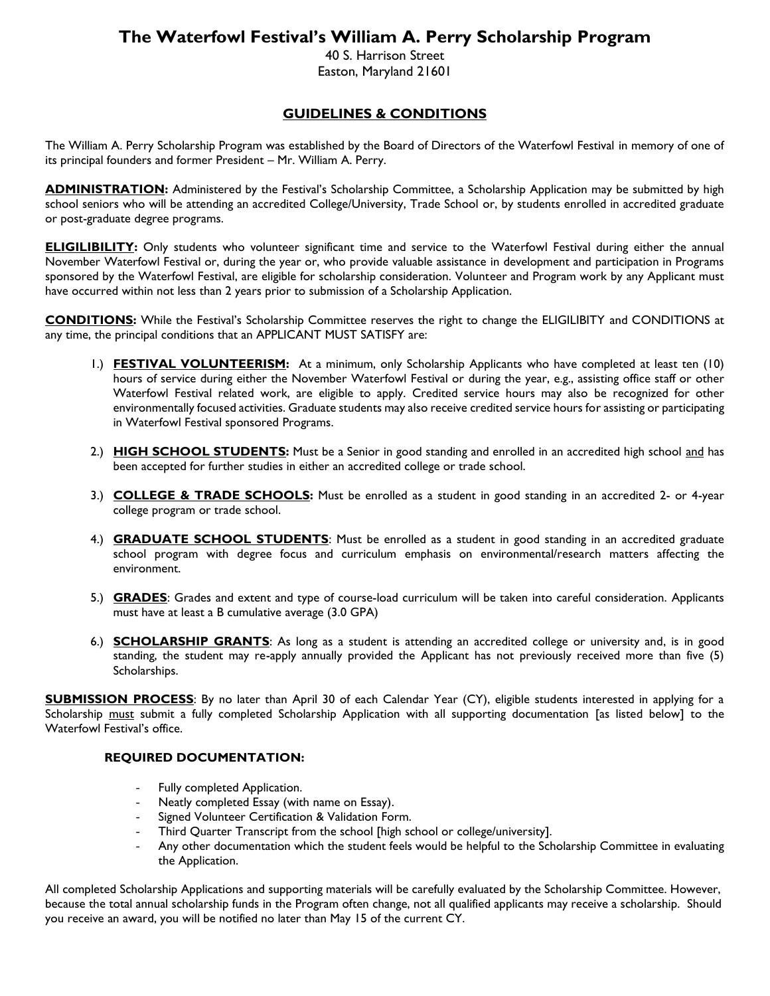# **The Waterfowl Festival's William A. Perry Scholarship Program**

40 S. Harrison Street Easton, Maryland 21601

#### **GUIDELINES & CONDITIONS**

The William A. Perry Scholarship Program was established by the Board of Directors of the Waterfowl Festival in memory of one of its principal founders and former President – Mr. William A. Perry.

**ADMINISTRATION:** Administered by the Festival's Scholarship Committee, a Scholarship Application may be submitted by high school seniors who will be attending an accredited College/University, Trade School or, by students enrolled in accredited graduate or post-graduate degree programs.

**ELIGILIBILITY:** Only students who volunteer significant time and service to the Waterfowl Festival during either the annual November Waterfowl Festival or, during the year or, who provide valuable assistance in development and participation in Programs sponsored by the Waterfowl Festival, are eligible for scholarship consideration. Volunteer and Program work by any Applicant must have occurred within not less than 2 years prior to submission of a Scholarship Application.

**CONDITIONS:** While the Festival's Scholarship Committee reserves the right to change the ELIGILIBITY and CONDITIONS at any time, the principal conditions that an APPLICANT MUST SATISFY are:

- 1.) **FESTIVAL VOLUNTEERISM:** At a minimum, only Scholarship Applicants who have completed at least ten (10) hours of service during either the November Waterfowl Festival or during the year, e.g., assisting office staff or other Waterfowl Festival related work, are eligible to apply. Credited service hours may also be recognized for other environmentally focused activities. Graduate students may also receive credited service hours for assisting or participating in Waterfowl Festival sponsored Programs.
- 2.) **HIGH SCHOOL STUDENTS:** Must be a Senior in good standing and enrolled in an accredited high school and has been accepted for further studies in either an accredited college or trade school.
- 3.) **COLLEGE & TRADE SCHOOLS:** Must be enrolled as a student in good standing in an accredited 2- or 4-year college program or trade school.
- 4.) **GRADUATE SCHOOL STUDENTS**: Must be enrolled as a student in good standing in an accredited graduate school program with degree focus and curriculum emphasis on environmental/research matters affecting the environment.
- 5.) **GRADES**: Grades and extent and type of course-load curriculum will be taken into careful consideration. Applicants must have at least a B cumulative average (3.0 GPA)
- 6.) **SCHOLARSHIP GRANTS**: As long as a student is attending an accredited college or university and, is in good standing, the student may re-apply annually provided the Applicant has not previously received more than five (5) Scholarships.

**SUBMISSION PROCESS**: By no later than April 30 of each Calendar Year (CY), eligible students interested in applying for a Scholarship must submit a fully completed Scholarship Application with all supporting documentation [as listed below] to the Waterfowl Festival's office.

#### **REQUIRED DOCUMENTATION:**

- Fully completed Application.
- Neatly completed Essay (with name on Essay).
- Signed Volunteer Certification & Validation Form.
- Third Quarter Transcript from the school [high school or college/university].
- Any other documentation which the student feels would be helpful to the Scholarship Committee in evaluating the Application.

All completed Scholarship Applications and supporting materials will be carefully evaluated by the Scholarship Committee. However, because the total annual scholarship funds in the Program often change, not all qualified applicants may receive a scholarship. Should you receive an award, you will be notified no later than May 15 of the current CY.